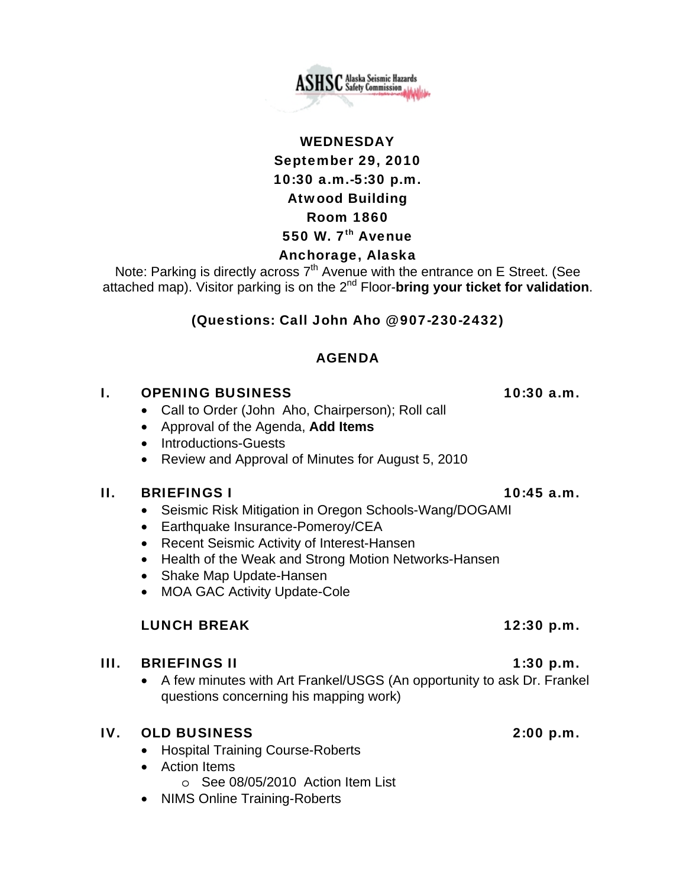

**ASHSC** Alaska Seismic Hazards

### Anchorage, Alaska

Note: Parking is directly across 7<sup>th</sup> Avenue with the entrance on E Street. (See attached map). Visitor parking is on the 2nd Floor-**bring your ticket for validation**.

### (Questions: Call John Aho @ 907-230-2432)

### AGENDA

### I. OPENING BUSINESS 10:30 a.m.

- Call to Order (John Aho, Chairperson); Roll call
- Approval of the Agenda, **Add Items**
- Introductions-Guests
- Review and Approval of Minutes for August 5, 2010

### II. BRIEFINGS I  $10:45$  a.m.

- Seismic Risk Mitigation in Oregon Schools-Wang/DOGAMI
- Earthquake Insurance-Pomeroy/CEA
- Recent Seismic Activity of Interest-Hansen
- Health of the Weak and Strong Motion Networks-Hansen
- Shake Map Update-Hansen
- MOA GAC Activity Update-Cole

### LUNCH BREAK 12:30 p.m.

### III. BRIEFINGS II  $1:30 \text{ p.m.}$

• A few minutes with Art Frankel/USGS (An opportunity to ask Dr. Frankel questions concerning his mapping work)

### IV. OLD BUSINESS 2:00 p.m.

- Hospital Training Course-Roberts
- Action Items
	- o See 08/05/2010 Action Item List
- NIMS Online Training-Roberts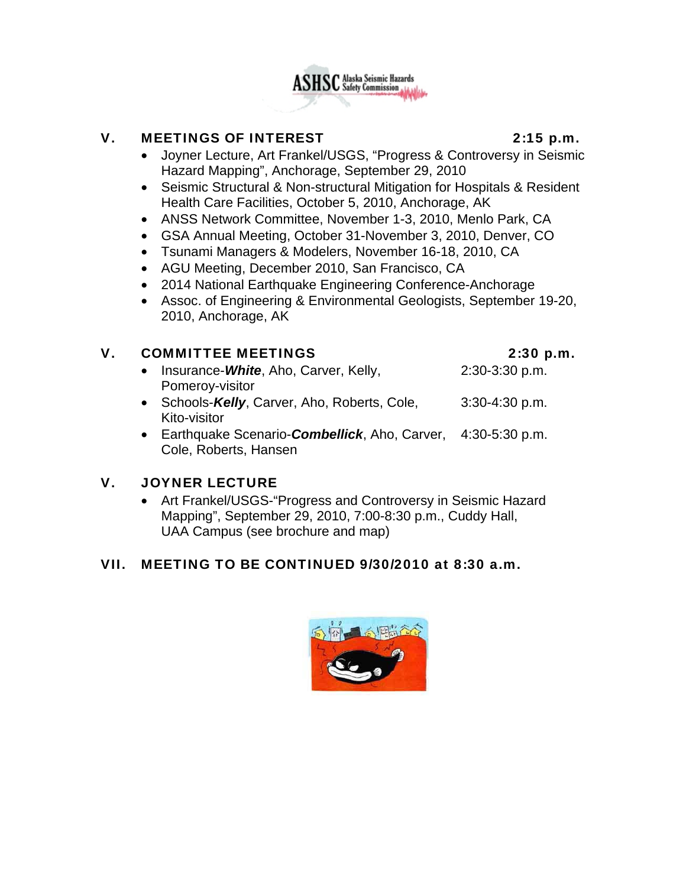

## V. MEETINGS OF INTEREST 2:15 p.m.

- Joyner Lecture, Art Frankel/USGS, "Progress & Controversy in Seismic Hazard Mapping", Anchorage, September 29, 2010
- Seismic Structural & Non-structural Mitigation for Hospitals & Resident Health Care Facilities, October 5, 2010, Anchorage, AK
- ANSS Network Committee, November 1-3, 2010, Menlo Park, CA
- GSA Annual Meeting, October 31-November 3, 2010, Denver, CO
- Tsunami Managers & Modelers, November 16-18, 2010, CA
- AGU Meeting, December 2010, San Francisco, CA
- 2014 National Earthquake Engineering Conference-Anchorage
- Assoc. of Engineering & Environmental Geologists, September 19-20, 2010, Anchorage, AK

## V. COMMITTEE MEETINGS 2:30 p.m.

- Insurance-*White*, Aho, Carver, Kelly, 2:30-3:30 p.m. Pomeroy-visitor
- Schools-Kelly, Carver, Aho, Roberts, Cole, 3:30-4:30 p.m. Kito-visitor
- Earthquake Scenario-*Combellick*, Aho, Carver, 4:30-5:30 p.m. Cole, Roberts, Hansen

## V. JOYNER LECTURE

• Art Frankel/USGS-"Progress and Controversy in Seismic Hazard Mapping", September 29, 2010, 7:00-8:30 p.m., Cuddy Hall, UAA Campus (see brochure and map)

## VII. MEETING TO BE CONTINUED 9/30/2010 at 8:30 a.m.

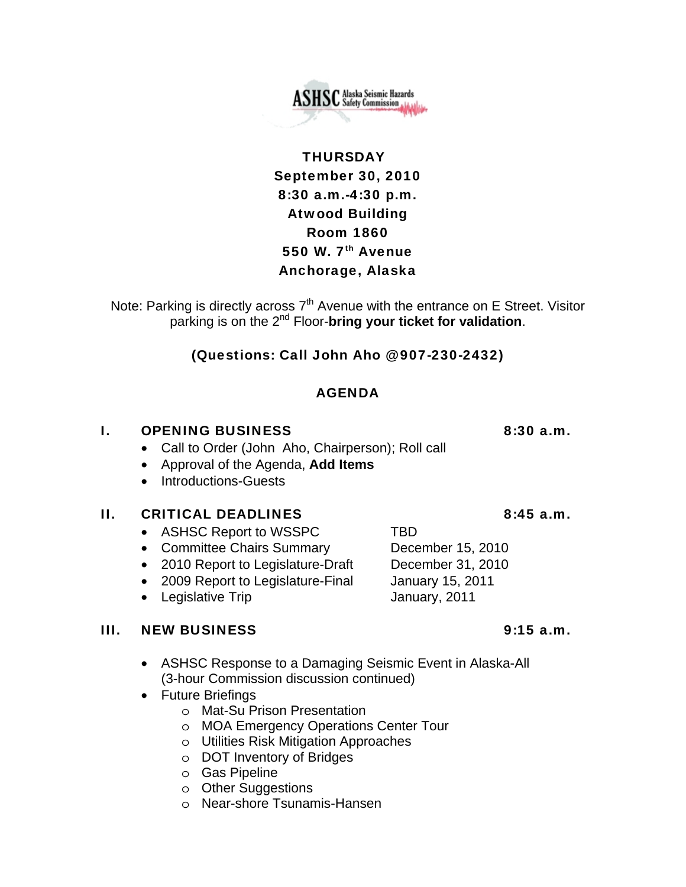

## **THURSDAY** September 30, 2010 8:30 a.m.-4:30 p.m. Atwood Building Room 1860 550 W. 7<sup>th</sup> Avenue Anchorage, Alaska

Note: Parking is directly across  $7<sup>th</sup>$  Avenue with the entrance on E Street. Visitor parking is on the 2nd Floor-**bring your ticket for validation**.

## (Questions: Call John Aho @ 907-230-2432)

## AGENDA

### **I.** OPENING BUSINESS 8:30 a.m.

- Call to Order (John Aho, Chairperson); Roll call
- Approval of the Agenda, **Add Items**
- Introductions-Guests

### II. CRITICAL DEADLINES 8:45 a.m.

- ASHSC Report to WSSPC TBD
- Committee Chairs Summary December 15, 2010
- 2010 Report to Legislature-Draft December 31, 2010
- 2009 Report to Legislature-Final January 15, 2011
- Legislative Trip **January**, 2011

### III. NEW BUSINESS 9:15 a.m.

- ASHSC Response to a Damaging Seismic Event in Alaska-All (3-hour Commission discussion continued)
- Future Briefings
	- o Mat-Su Prison Presentation
	- o MOA Emergency Operations Center Tour
	- o Utilities Risk Mitigation Approaches
	- o DOT Inventory of Bridges
	- o Gas Pipeline
	- o Other Suggestions
	- o Near-shore Tsunamis-Hansen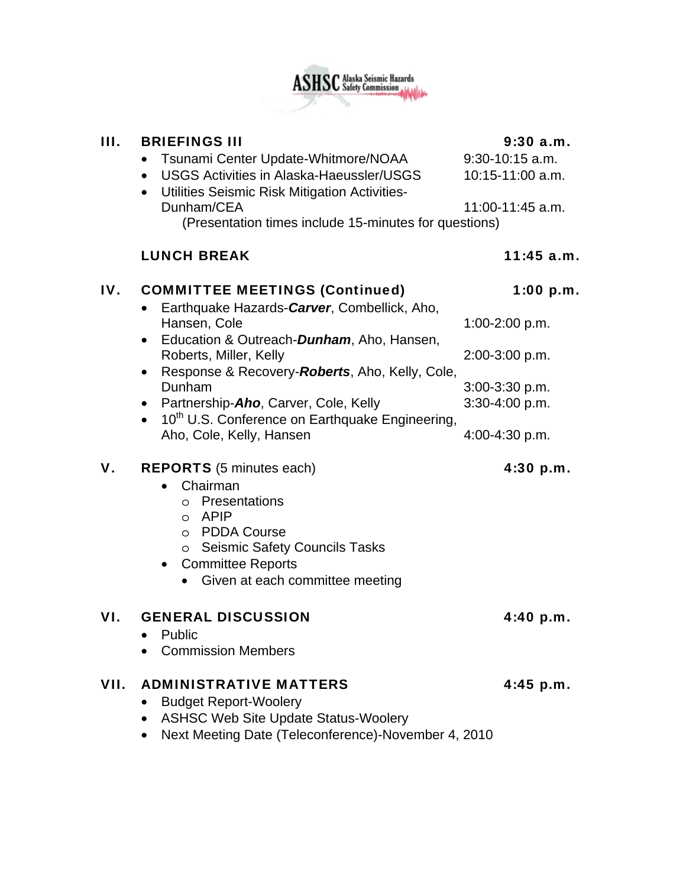

## III. BRIEFINGS III 9:30 a.m.

|      | Tsunami Center Update-Whitmore/NOAA<br>$\bullet$<br><b>USGS Activities in Alaska-Haeussler/USGS</b><br>Utilities Seismic Risk Mitigation Activities-<br>$\bullet$<br>Dunham/CEA<br>(Presentation times include 15-minutes for questions) | $9:30-10:15$ a.m.<br>10:15-11:00 a.m.<br>11:00-11:45 a.m. |
|------|------------------------------------------------------------------------------------------------------------------------------------------------------------------------------------------------------------------------------------------|-----------------------------------------------------------|
|      | <b>LUNCH BREAK</b>                                                                                                                                                                                                                       | $11:45$ a.m.                                              |
| IV.  | <b>COMMITTEE MEETINGS (Continued)</b><br>Earthquake Hazards-Carver, Combellick, Aho,                                                                                                                                                     | 1:00 p.m.                                                 |
|      | Hansen, Cole<br>Education & Outreach-Dunham, Aho, Hansen,<br>$\bullet$                                                                                                                                                                   | 1:00-2:00 p.m.                                            |
|      | Roberts, Miller, Kelly<br>Response & Recovery-Roberts, Aho, Kelly, Cole,<br>$\bullet$                                                                                                                                                    | 2:00-3:00 p.m.                                            |
|      | Dunham                                                                                                                                                                                                                                   | 3:00-3:30 p.m.                                            |
|      | Partnership-Aho, Carver, Cole, Kelly<br>$\bullet$<br>• 10 <sup>th</sup> U.S. Conference on Earthquake Engineering,                                                                                                                       | 3:30-4:00 p.m.                                            |
|      | Aho, Cole, Kelly, Hansen                                                                                                                                                                                                                 | 4:00-4:30 p.m.                                            |
| V.   | <b>REPORTS</b> (5 minutes each)<br>Chairman<br>Presentations<br>$\circ$<br><b>APIP</b><br>$\circ$<br><b>PDDA Course</b><br>$\circ$<br>o Seismic Safety Councils Tasks<br><b>Committee Reports</b><br>Given at each committee meeting     | 4:30 p.m.                                                 |
| VI.  | <b>GENERAL DISCUSSION</b><br>Public<br>$\bullet$<br><b>Commission Members</b>                                                                                                                                                            | 4:40 p.m.                                                 |
| VII. | <b>ADMINISTRATIVE MATTERS</b><br><b>Budget Report-Woolery</b><br><b>ASHSC Web Site Update Status-Woolery</b><br>$M$ and $M$ and $n = 1$ and $\pi$ also and $\pi$ and $\pi$ $\lambda$ $M$ and $\pi$ $\lambda$ $\alpha$ $\alpha$ $\alpha$  | 4:45 p.m.                                                 |

• Next Meeting Date (Teleconference)-November 4, 2010